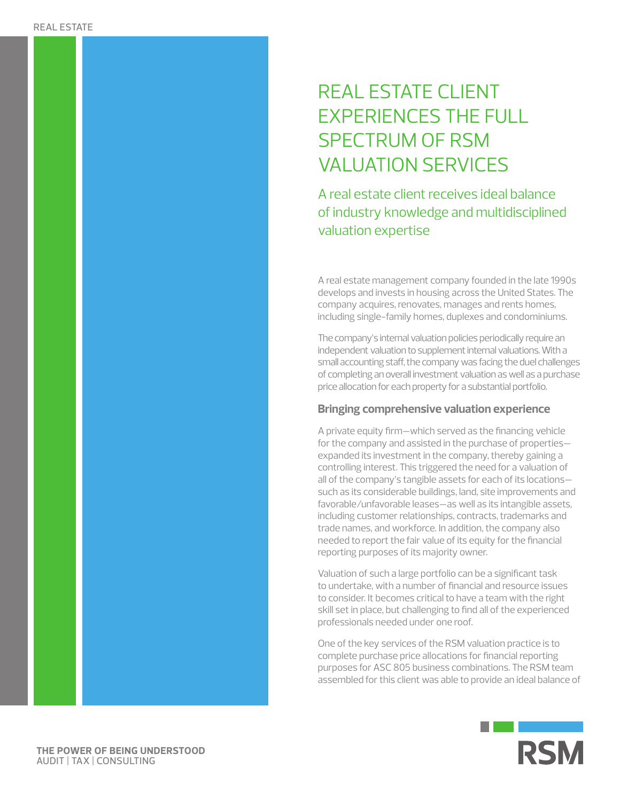## REAL ESTATE CLIENT EXPERIENCES THE FULL SPECTRUM OF RSM VALUATION SERVICES

A real estate client receives ideal balance of industry knowledge and multidisciplined valuation expertise

A real estate management company founded in the late 1990s develops and invests in housing across the United States. The company acquires, renovates, manages and rents homes, including single-family homes, duplexes and condominiums.

The company's internal valuation policies periodically require an independent valuation to supplement internal valuations. With a small accounting staff, the company was facing the duel challenges of completing an overall investment valuation as well as a purchase price allocation for each property for a substantial portfolio.

## **Bringing comprehensive valuation experience**

A private equity firm—which served as the financing vehicle for the company and assisted in the purchase of properties expanded its investment in the company, thereby gaining a controlling interest. This triggered the need for a valuation of all of the company's tangible assets for each of its locations such as its considerable buildings, land, site improvements and favorable/unfavorable leases—as well as its intangible assets, including customer relationships, contracts, trademarks and trade names, and workforce. In addition, the company also needed to report the fair value of its equity for the financial reporting purposes of its majority owner.

Valuation of such a large portfolio can be a significant task to undertake, with a number of financial and resource issues to consider. It becomes critical to have a team with the right skill set in place, but challenging to find all of the experienced professionals needed under one roof.

One of the key services of the RSM valuation practice is to complete purchase price allocations for financial reporting purposes for ASC 805 business combinations. The RSM team assembled for this client was able to provide an ideal balance of



**THE POWER OF BEING UNDERSTOOD** AUDIT | TAX | CONSULTING